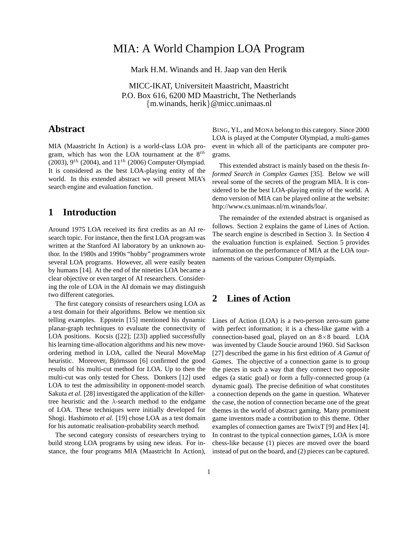# MIA: A World Champion LOA Program

Mark H.M. Winands and H. Jaap van den Herik

MICC-IKAT, Universiteit Maastricht, Maastricht P.O. Box 616, 6200 MD Maastricht, The Netherlands {m.winands, herik}@micc.unimaas.nl

# **Abstract**

MIA (Maastricht In Action) is a world-class LOA program, which has won the LOA tournament at the  $8^{th}$ (2003),  $9^{th}$  (2004), and  $11^{th}$  (2006) Computer Olympiad. It is considered as the best LOA-playing entity of the world. In this extended abstract we will present MIA's search engine and evaluation function.

## **1 Introduction**

Around 1975 LOA received its first credits as an AI research topic. For instance, then the first LOA program was written at the Stanford AI laboratory by an unknown author. In the 1980s and 1990s "hobby" programmers wrote several LOA programs. However, all were easily beaten by humans [14]. At the end of the nineties LOA became a clear objective or even target of AI researchers. Considering the role of LOA in the AI domain we may distinguish two different categories.

The first category consists of researchers using LOA as a test domain for their algorithms. Below we mention six telling examples. Eppstein [15] mentioned his dynamic planar-graph techniques to evaluate the connectivity of LOA positions. Kocsis ([22]; [23]) applied successfully his learning time-allocation algorithms and his new moveordering method in LOA, called the Neural MoveMap heuristic. Moreover, Björnsson [6] confirmed the good results of his multi-cut method for LOA. Up to then the multi-cut was only tested for Chess. Donkers [12] used LOA to test the admissibility in opponent-model search. Sakuta *et al.* [28] investigated the application of the killertree heuristic and the  $\lambda$ -search method to the endgame of LOA. These techniques were initially developed for Shogi. Hashimoto *et al.* [19] chose LOA as a test domain for his automatic realisation-probability search method.

The second category consists of researchers trying to build strong LOA programs by using new ideas. For instance, the four programs MIA (Maastricht In Action),

BING, YL, and MONA belong to this category. Since 2000 LOA is played at the Computer Olympiad, a multi-games event in which all of the participants are computer programs.

This extended abstract is mainly based on the thesis *Informed Search in Complex Games* [35]. Below we will reveal some of the secrets of the program MIA. It is considered to be the best LOA-playing entity of the world. A demo version of MIA can be played online at the website: http://www.cs.unimaas.nl/m.winands/loa/.

The remainder of the extended abstract is organised as follows. Section 2 explains the game of Lines of Action. The search engine is described in Section 3. In Section 4 the evaluation function is explained. Section 5 provides information on the performance of MIA at the LOA tournaments of the various Computer Olympiads.

# **2 Lines of Action**

Lines of Action (LOA) is a two-person zero-sum game with perfect information; it is a chess-like game with a connection-based goal, played on an 8×8 board. LOA was invented by Claude Soucie around 1960. Sid Sackson [27] described the game in his first edition of *A Gamut of Games*. The objective of a connection game is to group the pieces in such a way that they connect two opposite edges (a static goal) or form a fully-connected group (a dynamic goal). The precise definition of what constitutes a connection depends on the game in question. Whatever the case, the notion of connection became one of the great themes in the world of abstract gaming. Many prominent game inventors made a contribution to this theme. Other examples of connection games are TwixT [9] and Hex [4]. In contrast to the typical connection games, LOA is more chess-like because (1) pieces are moved over the board instead of put on the board, and (2) pieces can be captured.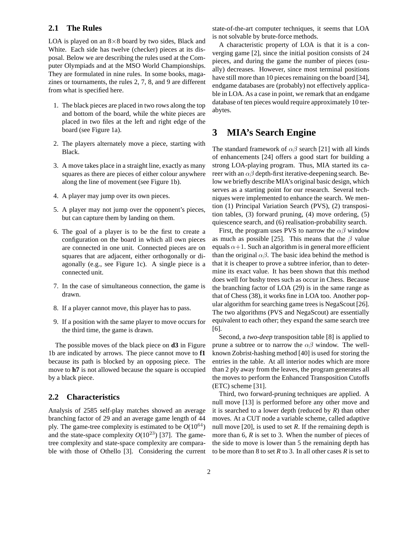### **2.1 The Rules**

LOA is played on an  $8\times 8$  board by two sides, Black and White. Each side has twelve (checker) pieces at its disposal. Below we are describing the rules used at the Computer Olympiads and at the MSO World Championships. They are formulated in nine rules. In some books, magazines or tournaments, the rules 2, 7, 8, and 9 are different from what is specified here.

- 1. The black pieces are placed in two rows along the top and bottom of the board, while the white pieces are placed in two files at the left and right edge of the board (see Figure 1a).
- 2. The players alternately move a piece, starting with Black.
- 3. A move takes place in a straight line, exactly as many squares as there are pieces of either colour anywhere along the line of movement (see Figure 1b).
- 4. A player may jump over its own pieces.
- 5. A player may not jump over the opponent's pieces, but can capture them by landing on them.
- 6. The goal of a player is to be the first to create a configuration on the board in which all own pieces are connected in one unit. Connected pieces are on squares that are adjacent, either orthogonally or diagonally (e.g., see Figure 1c). A single piece is a connected unit.
- 7. In the case of simultaneous connection, the game is drawn.
- 8. If a player cannot move, this player has to pass.
- 9. If a position with the same player to move occurs for the third time, the game is drawn.

The possible moves of the black piece on **d3** in Figure 1b are indicated by arrows. The piece cannot move to **f1** because its path is blocked by an opposing piece. The move to **h7** is not allowed because the square is occupied by a black piece.

#### **2.2 Characteristics**

Analysis of 2585 self-play matches showed an average branching factor of 29 and an average game length of 44 ply. The game-tree complexity is estimated to be  $O(10^{64})$ and the state-space complexity  $O(10^{23})$  [37]. The gametree complexity and state-space complexity are comparable with those of Othello [3]. Considering the current

state-of-the-art computer techniques, it seems that LOA is not solvable by brute-force methods.

A characteristic property of LOA is that it is a converging game [2], since the initial position consists of 24 pieces, and during the game the number of pieces (usually) decreases. However, since most terminal positions have still more than 10 pieces remaining on the board [34], endgame databases are (probably) not effectively applicable in LOA. As a case in point, we remark that an endgame database of ten pieces would require approximately 10 terabytes.

### **3 MIA's Search Engine**

The standard framework of  $\alpha\beta$  search [21] with all kinds of enhancements [24] offers a good start for building a strong LOA-playing program. Thus, MIA started its career with an  $\alpha\beta$  depth-first iterative-deepening search. Below we briefly describe MIA's original basic design, which serves as a starting point for our research. Several techniques were implemented to enhance the search. We mention (1) Principal Variation Search (PVS), (2) transposition tables, (3) forward pruning, (4) move ordering, (5) quiescence search, and (6) realisation-probability search.

First, the program uses PVS to narrow the  $\alpha\beta$  window as much as possible [25]. This means that the  $\beta$  value equals  $\alpha+1$ . Such an algorithm is in general more efficient than the original  $\alpha\beta$ . The basic idea behind the method is that it is cheaper to prove a subtree inferior, than to determine its exact value. It has been shown that this method does well for bushy trees such as occur in Chess. Because the branching factor of LOA (29) is in the same range as that of Chess (38), it works fine in LOA too. Another popular algorithm for searching game trees is NegaScout [26]. The two algorithms (PVS and NegaScout) are essentially equivalent to each other; they expand the same search tree [6].

Second, a *two-deep* transposition table [8] is applied to prune a subtree or to narrow the  $\alpha\beta$  window. The wellknown Zobrist-hashing method [40] is used for storing the entries in the table. At all interior nodes which are more than 2 ply away from the leaves, the program generates all the moves to perform the Enhanced Transposition Cutoffs (ETC) scheme [31].

Third, two forward-pruning techniques are applied. A null move [13] is performed before any other move and it is searched to a lower depth (reduced by *R*) than other moves. At a CUT node a variable scheme, called adaptive null move [20], is used to set *R*. If the remaining depth is more than 6, *R* is set to 3. When the number of pieces of the side to move is lower than 5 the remaining depth has to be more than 8 to set *R* to 3. In all other cases *R* is set to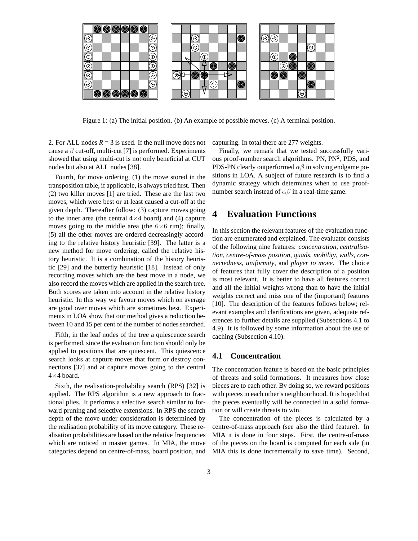

Figure 1: (a) The initial position. (b) An example of possible moves. (c) A terminal position.

2. For ALL nodes  $R = 3$  is used. If the null move does not cause a  $\beta$  cut-off, multi-cut [7] is performed. Experiments showed that using multi-cut is not only beneficial at CUT nodes but also at ALL nodes [38].

Fourth, for move ordering, (1) the move stored in the transposition table, if applicable, is always tried first. Then (2) two killer moves [1] are tried. These are the last two moves, which were best or at least caused a cut-off at the given depth. Thereafter follow: (3) capture moves going to the inner area (the central  $4\times4$  board) and (4) capture moves going to the middle area (the  $6\times 6$  rim); finally, (5) all the other moves are ordered decreasingly according to the relative history heuristic [39]. The latter is a new method for move ordering, called the relative history heuristic. It is a combination of the history heuristic [29] and the butterfly heuristic [18]. Instead of only recording moves which are the best move in a node, we also record the moves which are applied in the search tree. Both scores are taken into account in the relative history heuristic. In this way we favour moves which on average are good over moves which are sometimes best. Experiments in LOA show that our method gives a reduction between 10 and 15 per cent of the number of nodes searched.

Fifth, in the leaf nodes of the tree a quiescence search is performed, since the evaluation function should only be applied to positions that are quiescent. This quiescence search looks at capture moves that form or destroy connections [37] and at capture moves going to the central  $4\times4$  board.

Sixth, the realisation-probability search (RPS) [32] is applied. The RPS algorithm is a new approach to fractional plies. It performs a selective search similar to forward pruning and selective extensions. In RPS the search depth of the move under consideration is determined by the realisation probability of its move category. These realisation probabilities are based on the relative frequencies which are noticed in master games. In MIA, the move categories depend on centre-of-mass, board position, and capturing. In total there are 277 weights.

Finally, we remark that we tested successfully various proof-number search algorithms. PN, PN<sup>2</sup>, PDS, and PDS-PN clearly outperformed  $\alpha\beta$  in solving endgame positions in LOA. A subject of future research is to find a dynamic strategy which determines when to use proofnumber search instead of  $\alpha\beta$  in a real-time game.

# **4 Evaluation Functions**

In this section the relevant features of the evaluation function are enumerated and explained. The evaluator consists of the following nine features: *concentration*, *centralisation*, *centre-of-mass position*, *quads*, *mobility*, *walls*, *connectedness*, *uniformity*, and *player to move*. The choice of features that fully cover the description of a position is most relevant. It is better to have all features correct and all the initial weights wrong than to have the initial weights correct and miss one of the (important) features [10]. The description of the features follows below; relevant examples and clarifications are given, adequate references to further details are supplied (Subsections 4.1 to 4.9). It is followed by some information about the use of caching (Subsection 4.10).

### **4.1 Concentration**

The concentration feature is based on the basic principles of threats and solid formations. It measures how close pieces are to each other. By doing so, we reward positions with pieces in each other's neighbourhood. It is hoped that the pieces eventually will be connected in a solid formation or will create threats to win.

The concentration of the pieces is calculated by a centre-of-mass approach (see also the third feature). In MIA it is done in four steps. First, the centre-of-mass of the pieces on the board is computed for each side (in MIA this is done incrementally to save time). Second,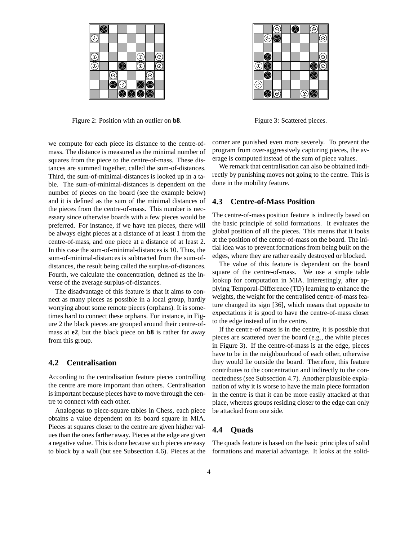|         | ø |   |   |   |         |   |    |
|---------|---|---|---|---|---------|---|----|
| $\odot$ |   |   |   |   |         |   |    |
|         |   |   |   |   |         |   |    |
| ō       |   |   |   |   | C       |   | ତି |
| G       |   |   |   |   | ە       |   | c  |
|         |   | C |   |   |         | ⊙ |    |
|         |   |   | ⊙ |   | $\circ$ | ¢ |    |
|         |   |   | ō | G | ō       | ٥ |    |

Figure 2: Position with an outlier on **b8**.

we compute for each piece its distance to the centre-ofmass. The distance is measured as the minimal number of squares from the piece to the centre-of-mass. These distances are summed together, called the sum-of-distances. Third, the sum-of-minimal-distances is looked up in a table. The sum-of-minimal-distances is dependent on the number of pieces on the board (see the example below) and it is defined as the sum of the minimal distances of the pieces from the centre-of-mass. This number is necessary since otherwise boards with a few pieces would be preferred. For instance, if we have ten pieces, there will be always eight pieces at a distance of at least 1 from the centre-of-mass, and one piece at a distance of at least 2. In this case the sum-of-minimal-distances is 10. Thus, the sum-of-minimal-distances is subtracted from the sum-ofdistances, the result being called the surplus-of-distances. Fourth, we calculate the concentration, defined as the inverse of the average surplus-of-distances.

The disadvantage of this feature is that it aims to connect as many pieces as possible in a local group, hardly worrying about some remote pieces (orphans). It is sometimes hard to connect these orphans. For instance, in Figure 2 the black pieces are grouped around their centre-ofmass at **e2**, but the black piece on **b8** is rather far away from this group.

### **4.2 Centralisation**

According to the centralisation feature pieces controlling the centre are more important than others. Centralisation is important because pieces have to move through the centre to connect with each other.

Analogous to piece-square tables in Chess, each piece obtains a value dependent on its board square in MIA. Pieces at squares closer to the centre are given higher values than the ones farther away. Pieces at the edge are given a negative value. This is done because such pieces are easy to block by a wall (but see Subsection 4.6). Pieces at the

|                   |                   | $\widehat{\circ}$ | C |         | <u>ଚ</u> |                        |
|-------------------|-------------------|-------------------|---|---------|----------|------------------------|
|                   | $\widehat{\circ}$ | Ĝ                 |   |         |          | C                      |
|                   |                   |                   |   |         |          |                        |
|                   | ġ                 |                   |   |         |          | $\odot$                |
| $\widehat{\circ}$ | G                 |                   |   |         | G        | $\widehat{\mathbf{e}}$ |
|                   | ۱                 |                   |   |         | Ō        |                        |
| $\circledcirc$    |                   |                   |   |         |          |                        |
|                   | G                 | $\odot$           |   | $\odot$ |          |                        |
|                   |                   |                   |   |         |          |                        |

Figure 3: Scattered pieces.

corner are punished even more severely. To prevent the program from over-aggressively capturing pieces, the average is computed instead of the sum of piece values.

We remark that centralisation can also be obtained indirectly by punishing moves not going to the centre. This is done in the mobility feature.

#### **4.3 Centre-of-Mass Position**

The centre-of-mass position feature is indirectly based on the basic principle of solid formations. It evaluates the global position of all the pieces. This means that it looks at the position of the centre-of-mass on the board. The initial idea was to prevent formations from being built on the edges, where they are rather easily destroyed or blocked.

The value of this feature is dependent on the board square of the centre-of-mass. We use a simple table lookup for computation in MIA. Interestingly, after applying Temporal-Difference (TD) learning to enhance the weights, the weight for the centralised centre-of-mass feature changed its sign [36], which means that opposite to expectations it is good to have the centre-of-mass closer to the edge instead of in the centre.

If the centre-of-mass is in the centre, it is possible that pieces are scattered over the board (e.g., the white pieces in Figure 3). If the centre-of-mass is at the edge, pieces have to be in the neighbourhood of each other, otherwise they would lie outside the board. Therefore, this feature contributes to the concentration and indirectly to the connectedness (see Subsection 4.7). Another plausible explanation of why it is worse to have the main piece formation in the centre is that it can be more easily attacked at that place, whereas groups residing closer to the edge can only be attacked from one side.

#### **4.4 Quads**

The quads feature is based on the basic principles of solid formations and material advantage. It looks at the solid-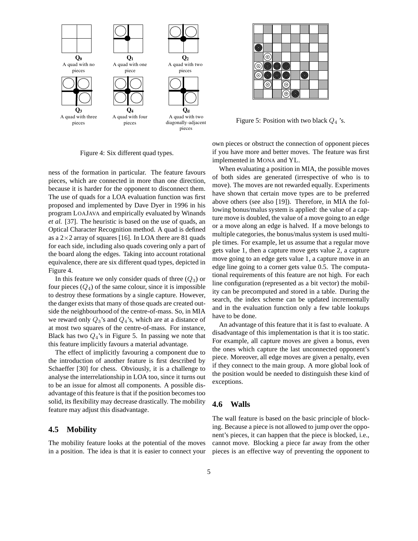

Figure 4: Six different quad types.

ness of the formation in particular. The feature favours pieces, which are connected in more than one direction, because it is harder for the opponent to disconnect them. The use of quads for a LOA evaluation function was first proposed and implemented by Dave Dyer in 1996 in his program LOAJAVA and empirically evaluated by Winands *et al.* [37]. The heuristic is based on the use of quads, an Optical Character Recognition method. A quad is defined as a  $2\times 2$  array of squares [16]. In LOA there are 81 quads for each side, including also quads covering only a part of the board along the edges. Taking into account rotational equivalence, there are six different quad types, depicted in Figure 4.

In this feature we only consider quads of three  $(Q_3)$  or four pieces  $(Q_4)$  of the same colour, since it is impossible to destroy these formations by a single capture. However, the danger exists that many of those quads are created outside the neighbourhood of the centre-of-mass. So, in MIA we reward only  $Q_3$ 's and  $Q_4$ 's, which are at a distance of at most two squares of the centre-of-mass. For instance, Black has two  $Q_4$ 's in Figure 5. In passing we note that this feature implicitly favours a material advantage.

The effect of implicitly favouring a component due to the introduction of another feature is first described by Schaeffer [30] for chess. Obviously, it is a challenge to analyse the interrelationship in LOA too, since it turns out to be an issue for almost all components. A possible disadvantage of this feature is that if the position becomes too solid, its flexibility may decrease drastically. The mobility feature may adjust this disadvantage.

### **4.5 Mobility**

The mobility feature looks at the potential of the moves in a position. The idea is that it is easier to connect your

| ල       |        |   |   |   |  |
|---------|--------|---|---|---|--|
|         | .<br>C |   |   |   |  |
| ē       | ଚି     | ٥ | ۷ |   |  |
| $\odot$ | C      | Ò | ଚ | Ø |  |
|         | ୕ୄ     |   | ି |   |  |
|         |        |   | ⊚ |   |  |

Figure 5: Position with two black  $Q_4$  's.

own pieces or obstruct the connection of opponent pieces if you have more and better moves. The feature was first implemented in MONA and YL.

When evaluating a position in MIA, the possible moves of both sides are generated (irrespective of who is to move). The moves are not rewarded equally. Experiments have shown that certain move types are to be preferred above others (see also [19]). Therefore, in MIA the following bonus/malus system is applied: the value of a capture move is doubled, the value of a move going to an edge or a move along an edge is halved. If a move belongs to multiple categories, the bonus/malus system is used multiple times. For example, let us assume that a regular move gets value 1, then a capture move gets value 2, a capture move going to an edge gets value 1, a capture move in an edge line going to a corner gets value 0.5. The computational requirements of this feature are not high. For each line configuration (represented as a bit vector) the mobility can be precomputed and stored in a table. During the search, the index scheme can be updated incrementally and in the evaluation function only a few table lookups have to be done.

An advantage of this feature that it is fast to evaluate. A disadvantage of this implementation is that it is too static. For example, all capture moves are given a bonus, even the ones which capture the last unconnected opponent's piece. Moreover, all edge moves are given a penalty, even if they connect to the main group. A more global look of the position would be needed to distinguish these kind of exceptions.

#### **4.6 Walls**

The wall feature is based on the basic principle of blocking. Because a piece is not allowed to jump over the opponent's pieces, it can happen that the piece is blocked, i.e., cannot move. Blocking a piece far away from the other pieces is an effective way of preventing the opponent to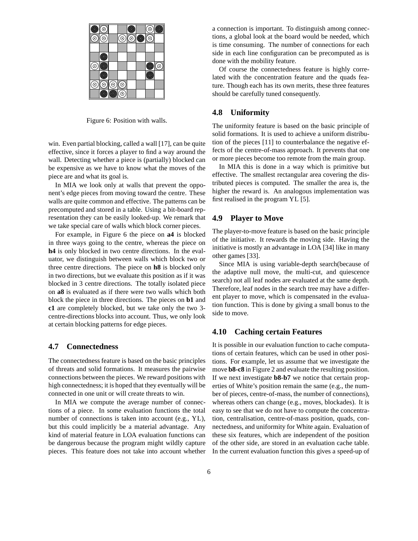| o | ି |   |         | ¢                 |   | $\odot$ | ö |
|---|---|---|---------|-------------------|---|---------|---|
| ි | C |   | $\odot$ | $\widehat{\circ}$ | C | ତି.     |   |
|   |   |   |         |                   |   |         |   |
|   | g |   |         |                   |   |         |   |
| ⓒ | ö |   |         |                   |   | ó       | ⊙ |
|   | C |   |         |                   |   | ¢       |   |
| ⊚ | ⊙ | ⊚ | ⊚       |                   |   |         |   |
|   | G | ō | ⊙       |                   |   |         |   |

Figure 6: Position with walls.

win. Even partial blocking, called a wall [17], can be quite effective, since it forces a player to find a way around the wall. Detecting whether a piece is (partially) blocked can be expensive as we have to know what the moves of the piece are and what its goal is.

In MIA we look only at walls that prevent the opponent's edge pieces from moving toward the centre. These walls are quite common and effective. The patterns can be precomputed and stored in a table. Using a bit-board representation they can be easily looked-up. We remark that we take special care of walls which block corner pieces.

For example, in Figure 6 the piece on **a4** is blocked in three ways going to the centre, whereas the piece on **h4** is only blocked in two centre directions. In the evaluator, we distinguish between walls which block two or three centre directions. The piece on **h8** is blocked only in two directions, but we evaluate this position as if it was blocked in 3 centre directions. The totally isolated piece on **a8** is evaluated as if there were two walls which both block the piece in three directions. The pieces on **b1** and **c1** are completely blocked, but we take only the two 3 centre-directions blocks into account. Thus, we only look at certain blocking patterns for edge pieces.

#### **4.7 Connectedness**

The connectedness feature is based on the basic principles of threats and solid formations. It measures the pairwise connections between the pieces. We reward positions with high connectedness; it is hoped that they eventually will be connected in one unit or will create threats to win.

In MIA we compute the average number of connections of a piece. In some evaluation functions the total number of connections is taken into account (e.g., YL), but this could implicitly be a material advantage. Any kind of material feature in LOA evaluation functions can be dangerous because the program might wildly capture pieces. This feature does not take into account whether a connection is important. To distinguish among connections, a global look at the board would be needed, which is time consuming. The number of connections for each side in each line configuration can be precomputed as is done with the mobility feature.

Of course the connectedness feature is highly correlated with the concentration feature and the quads feature. Though each has its own merits, these three features should be carefully tuned consequently.

### **4.8 Uniformity**

The uniformity feature is based on the basic principle of solid formations. It is used to achieve a uniform distribution of the pieces [11] to counterbalance the negative effects of the centre-of-mass approach. It prevents that one or more pieces become too remote from the main group.

In MIA this is done in a way which is primitive but effective. The smallest rectangular area covering the distributed pieces is computed. The smaller the area is, the higher the reward is. An analogous implementation was first realised in the program YL [5].

#### **4.9 Player to Move**

The player-to-move feature is based on the basic principle of the initiative. It rewards the moving side. Having the initiative is mostly an advantage in LOA [34] like in many other games [33].

Since MIA is using variable-depth search(because of the adaptive null move, the multi-cut, and quiescence search) not all leaf nodes are evaluated at the same depth. Therefore, leaf nodes in the search tree may have a different player to move, which is compensated in the evaluation function. This is done by giving a small bonus to the side to move.

### **4.10 Caching certain Features**

It is possible in our evaluation function to cache computations of certain features, which can be used in other positions. For example, let us assume that we investigate the move **b8-c8** in Figure 2 and evaluate the resulting position. If we next investigate **b8-b7** we notice that certain properties of White's position remain the same (e.g., the number of pieces, centre-of-mass, the number of connections), whereas others can change (e.g., moves, blockades). It is easy to see that we do not have to compute the concentration, centralisation, centre-of-mass position, quads, connectedness, and uniformity for White again. Evaluation of these six features, which are independent of the position of the other side, are stored in an evaluation cache table. In the current evaluation function this gives a speed-up of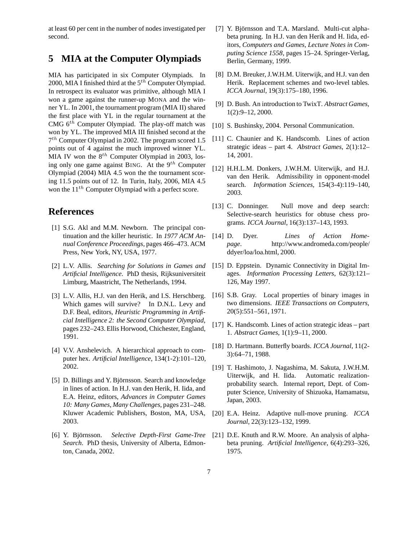at least 60 per cent in the number of nodes investigated per second.

# **5 MIA at the Computer Olympiads**

MIA has participated in six Computer Olympiads. In 2000, MIA I finished third at the  $5<sup>th</sup>$  Computer Olympiad. In retrospect its evaluator was primitive, although MIA I won a game against the runner-up MONA and the winner YL. In 2001, the tournament program (MIA II) shared the first place with YL in the regular tournament at the CMG  $6<sup>th</sup>$  Computer Olympiad. The play-off match was won by YL. The improved MIA III finished second at the 7 th Computer Olympiad in 2002. The program scored 1.5 points out of 4 against the much improved winner YL. MIA IV won the  $8^{th}$  Computer Olympiad in 2003, losing only one game against BING. At the  $9<sup>th</sup>$  Computer Olympiad (2004) MIA 4.5 won the the tournament scoring 11.5 points out of 12. In Turin, Italy, 2006, MIA 4.5 won the  $11^{th}$  Computer Olympiad with a perfect score.

# **References**

- [1] S.G. Akl and M.M. Newborn. The principal continuation and the killer heuristic. In *1977 ACM Annual Conference Proceedings*, pages 466–473. ACM Press, New York, NY, USA, 1977.
- [2] L.V. Allis. *Searching for Solutions in Games and Artificial Intelligence*. PhD thesis, Rijksuniversiteit Limburg, Maastricht, The Netherlands, 1994.
- [3] L.V. Allis, H.J. van den Herik, and I.S. Herschberg. Which games will survive? In D.N.L. Levy and D.F. Beal, editors, *Heuristic Programming in Artificial Intelligence 2: the Second Computer Olympiad*, pages 232–243. Ellis Horwood, Chichester, England, 1991.
- [4] V.V. Anshelevich. A hierarchical approach to computer hex. *Artificial Intelligence*, 134(1-2):101–120, 2002.
- [5] D. Billings and Y. Björnsson. Search and knowledge in lines of action. In H.J. van den Herik, H. Iida, and E.A. Heinz, editors, *Advances in Computer Games 10: Many Games, Many Challenges*, pages 231–248. Kluwer Academic Publishers, Boston, MA, USA, 2003.
- [6] Y. Björnsson. *Selective Depth-First Game-Tree Search*. PhD thesis, University of Alberta, Edmonton, Canada, 2002.
- [7] Y. Björnsson and T.A. Marsland. Multi-cut alphabeta pruning. In H.J. van den Herik and H. Iida, editors, *Computers and Games, Lecture Notes in Computing Science 1558*, pages 15–24. Springer-Verlag, Berlin, Germany, 1999.
- [8] D.M. Breuker, J.W.H.M. Uiterwijk, and H.J. van den Herik. Replacement schemes and two-level tables. *ICCA Journal*, 19(3):175–180, 1996.
- [9] D. Bush. An introduction to TwixT. *Abstract Games*, 1(2):9–12, 2000.
- [10] S. Bushinsky, 2004. Personal Communication.
- [11] C. Chaunier and K. Handscomb. Lines of action strategic ideas – part 4. *Abstract Games*, 2(1):12– 14, 2001.
- [12] H.H.L.M. Donkers, J.W.H.M. Uiterwijk, and H.J. van den Herik. Admissibility in opponent-model search. *Information Sciences*, 154(3-4):119–140, 2003.
- [13] C. Donninger. Null move and deep search: Selective-search heuristics for obtuse chess programs. *ICCA Journal*, 16(3):137–143, 1993.
- [14] D. Dyer. *Lines of Action Homepage*. http://www.andromeda.com/people/ ddyer/loa/loa.html, 2000.
- [15] D. Eppstein. Dynamic Connectivity in Digital Images. *Information Processing Letters*, 62(3):121– 126, May 1997.
- [16] S.B. Gray. Local properties of binary images in two dimensions. *IEEE Transactions on Computers*, 20(5):551–561, 1971.
- [17] K. Handscomb. Lines of action strategic ideas part 1. *Abstract Games*, 1(1):9–11, 2000.
- [18] D. Hartmann. Butterfly boards. *ICCA Journal*, 11(2- 3):64–71, 1988.
- [19] T. Hashimoto, J. Nagashima, M. Sakuta, J.W.H.M. Uiterwijk, and H. Iida. Automatic realizationprobability search. Internal report, Dept. of Computer Science, University of Shizuoka, Hamamatsu, Japan, 2003.
- [20] E.A. Heinz. Adaptive null-move pruning. *ICCA Journal*, 22(3):123–132, 1999.
- [21] D.E. Knuth and R.W. Moore. An analysis of alphabeta pruning. *Artificial Intelligence*, 6(4):293–326, 1975.